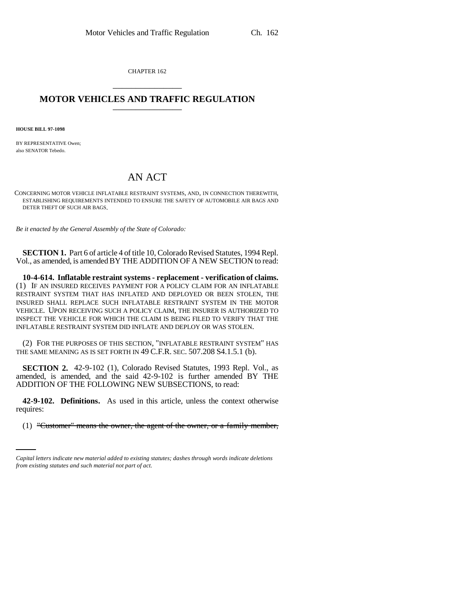CHAPTER 162 \_\_\_\_\_\_\_\_\_\_\_\_\_\_\_

## **MOTOR VEHICLES AND TRAFFIC REGULATION** \_\_\_\_\_\_\_\_\_\_\_\_\_\_\_

**HOUSE BILL 97-1098**

BY REPRESENTATIVE Owen; also SENATOR Tebedo.

## AN ACT

CONCERNING MOTOR VEHICLE INFLATABLE RESTRAINT SYSTEMS, AND, IN CONNECTION THEREWITH, ESTABLISHING REQUIREMENTS INTENDED TO ENSURE THE SAFETY OF AUTOMOBILE AIR BAGS AND DETER THEFT OF SUCH AIR BAGS.

*Be it enacted by the General Assembly of the State of Colorado:*

**SECTION 1.** Part 6 of article 4 of title 10, Colorado Revised Statutes, 1994 Repl. Vol., as amended, is amended BY THE ADDITION OF A NEW SECTION to read:

**10-4-614. Inflatable restraint systems - replacement - verification of claims.** (1) IF AN INSURED RECEIVES PAYMENT FOR A POLICY CLAIM FOR AN INFLATABLE RESTRAINT SYSTEM THAT HAS INFLATED AND DEPLOYED OR BEEN STOLEN, THE INSURED SHALL REPLACE SUCH INFLATABLE RESTRAINT SYSTEM IN THE MOTOR VEHICLE. UPON RECEIVING SUCH A POLICY CLAIM, THE INSURER IS AUTHORIZED TO INSPECT THE VEHICLE FOR WHICH THE CLAIM IS BEING FILED TO VERIFY THAT THE INFLATABLE RESTRAINT SYSTEM DID INFLATE AND DEPLOY OR WAS STOLEN.

(2) FOR THE PURPOSES OF THIS SECTION, "INFLATABLE RESTRAINT SYSTEM" HAS THE SAME MEANING AS IS SET FORTH IN 49 C.F.R. SEC. 507.208 S4.1.5.1 (b).

**SECTION 2.** 42-9-102 (1), Colorado Revised Statutes, 1993 Repl. Vol., as amended, is amended, and the said 42-9-102 is further amended BY THE ADDITION OF THE FOLLOWING NEW SUBSECTIONS, to read:

requires: **42-9-102. Definitions.** As used in this article, unless the context otherwise

(1) "Customer" means the owner, the agent of the owner, or a family member,

*Capital letters indicate new material added to existing statutes; dashes through words indicate deletions from existing statutes and such material not part of act.*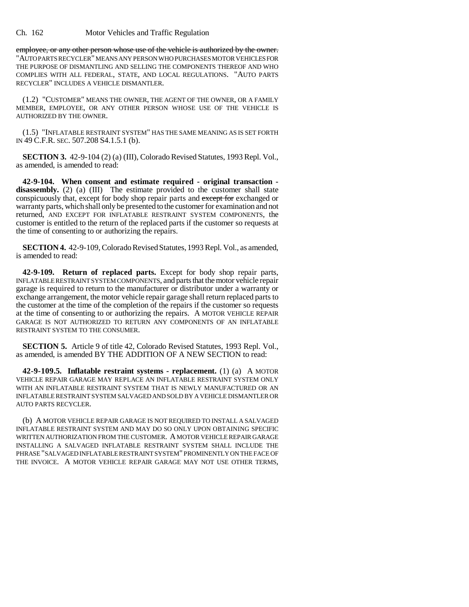Ch. 162 Motor Vehicles and Traffic Regulation

employee, or any other person whose use of the vehicle is authorized by the owner. "AUTO PARTS RECYCLER" MEANS ANY PERSON WHO PURCHASES MOTOR VEHICLES FOR THE PURPOSE OF DISMANTLING AND SELLING THE COMPONENTS THEREOF AND WHO COMPLIES WITH ALL FEDERAL, STATE, AND LOCAL REGULATIONS. "AUTO PARTS RECYCLER" INCLUDES A VEHICLE DISMANTLER.

(1.2) "CUSTOMER" MEANS THE OWNER, THE AGENT OF THE OWNER, OR A FAMILY MEMBER, EMPLOYEE, OR ANY OTHER PERSON WHOSE USE OF THE VEHICLE IS AUTHORIZED BY THE OWNER.

(1.5) "INFLATABLE RESTRAINT SYSTEM" HAS THE SAME MEANING AS IS SET FORTH IN 49 C.F.R. SEC. 507.208 S4.1.5.1 (b).

**SECTION 3.** 42-9-104 (2) (a) (III), Colorado Revised Statutes, 1993 Repl. Vol., as amended, is amended to read:

**42-9-104. When consent and estimate required - original transaction**  disassembly. (2) (a) (III) The estimate provided to the customer shall state conspicuously that, except for body shop repair parts and except for exchanged or warranty parts, which shall only be presented to the customer for examination and not returned, AND EXCEPT FOR INFLATABLE RESTRAINT SYSTEM COMPONENTS, the customer is entitled to the return of the replaced parts if the customer so requests at the time of consenting to or authorizing the repairs.

**SECTION 4.** 42-9-109, Colorado Revised Statutes, 1993 Repl. Vol., as amended, is amended to read:

**42-9-109. Return of replaced parts.** Except for body shop repair parts, INFLATABLE RESTRAINT SYSTEM COMPONENTS, and parts that the motor vehicle repair garage is required to return to the manufacturer or distributor under a warranty or exchange arrangement, the motor vehicle repair garage shall return replaced parts to the customer at the time of the completion of the repairs if the customer so requests at the time of consenting to or authorizing the repairs. A MOTOR VEHICLE REPAIR GARAGE IS NOT AUTHORIZED TO RETURN ANY COMPONENTS OF AN INFLATABLE RESTRAINT SYSTEM TO THE CONSUMER.

**SECTION 5.** Article 9 of title 42, Colorado Revised Statutes, 1993 Repl. Vol., as amended, is amended BY THE ADDITION OF A NEW SECTION to read:

**42-9-109.5. Inflatable restraint systems - replacement.** (1) (a) A MOTOR VEHICLE REPAIR GARAGE MAY REPLACE AN INFLATABLE RESTRAINT SYSTEM ONLY WITH AN INFLATABLE RESTRAINT SYSTEM THAT IS NEWLY MANUFACTURED OR AN INFLATABLE RESTRAINT SYSTEM SALVAGED AND SOLD BY A VEHICLE DISMANTLER OR AUTO PARTS RECYCLER.

(b) A MOTOR VEHICLE REPAIR GARAGE IS NOT REQUIRED TO INSTALL A SALVAGED INFLATABLE RESTRAINT SYSTEM AND MAY DO SO ONLY UPON OBTAINING SPECIFIC WRITTEN AUTHORIZATION FROM THE CUSTOMER. A MOTOR VEHICLE REPAIR GARAGE INSTALLING A SALVAGED INFLATABLE RESTRAINT SYSTEM SHALL INCLUDE THE PHRASE "SALVAGED INFLATABLE RESTRAINT SYSTEM" PROMINENTLY ON THE FACE OF THE INVOICE. A MOTOR VEHICLE REPAIR GARAGE MAY NOT USE OTHER TERMS,